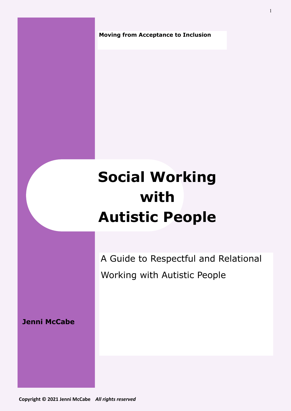**Moving from Acceptance to Inclusion** 

# **Social Working with Autistic People**

A Guide to Respectful and Relational Working with Autistic People

**Jenni McCabe**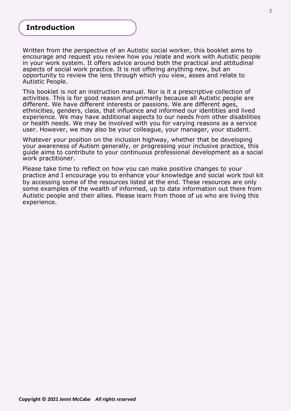# **Introduction**

Written from the perspective of an Autistic social worker, this booklet aims to encourage and request you review how you relate and work with Autistic people in your work system. It offers advice around both the practical and attitudinal aspects of social work practice. It is not offering anything new, but an opportunity to review the lens through which you view, asses and relate to Autistic People.

This booklet is not an instruction manual. Nor is it a prescriptive collection of activities. This is for good reason and primarily because all Autistic people are different. We have different interests or passions. We are different ages, ethnicities, genders, class, that influence and informed our identities and lived experience. We may have additional aspects to our needs from other disabilities or health needs. We may be involved with you for varying reasons as a service user. However, we may also be your colleague, your manager, your student.

Whatever your position on the inclusion highway, whether that be developing your awareness of Autism generally, or progressing your inclusive practice, this guide aims to contribute to your continuous professional development as a social work practitioner.

Please take time to reflect on how you can make positive changes to your practice and I encourage you to enhance your knowledge and social work tool kit by accessing some of the resources listed at the end. These resources are only some examples of the wealth of informed, up to date information out there from Autistic people and their allies. Please learn from those of us who are living this experience.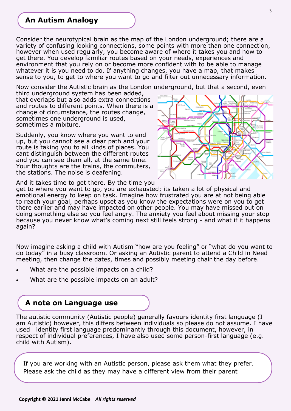# **An Autism Analogy**

Consider the neurotypical brain as the map of the London underground; there are a variety of confusing looking connections, some points with more than one connection, however when used regularly, you become aware of where it takes you and how to get there. You develop familiar routes based on your needs, experiences and environment that you rely on or become more confident with to be able to manage whatever it is you need to do. If anything changes, you have a map, that makes sense to you, to get to where you want to go and filter out unnecessary information.

Now consider the Autistic brain as the London underground, but that a second, even

third underground system has been added, that overlaps but also adds extra connections and routes to different points. When there is a change of circumstance, the routes change, sometimes one underground is used, sometimes a mixture.

Suddenly, you know where you want to end up, but you cannot see a clear path and your route is taking you to all kinds of places. You cant distinguish between the different routes and you can see them all, at the same time. Your thoughts are the trains, the commuters, the stations. The noise is deafening.



And it takes time to get there. By the time you

get to where you want to go, you are exhausted; its taken a lot of physical and emotional energy to keep on task. Imagine how frustrated you are at not being able to reach your goal, perhaps upset as you know the expectations were on you to get there earlier and may have impacted on other people. You may have missed out on doing something else so you feel angry. The anxiety you feel about missing your stop because you never know what's coming next still feels strong - and what if it happens again?

Now imagine asking a child with Autism "how are you feeling" or "what do you want to do today" in a busy classroom. Or asking an Autistic parent to attend a Child in Need meeting, then change the dates, times and possibly meeting chair the day before.

- What are the possible impacts on a child?
- What are the possible impacts on an adult?

### **A note on Language use**

The autistic community (Autistic people) generally favours identity first language (I am Autistic) however, this differs between individuals so please do not assume. I have used identity first language predominantly through this document, however, in respect of individual preferences, I have also used some person-first language (e.g. child with Autism).

If you are working with an Autistic person, please ask them what they prefer. Please ask the child as they may have a different view from their parent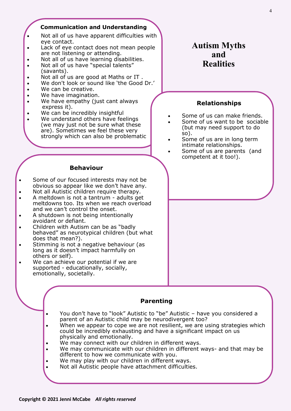#### **Communication and Understanding**

- Not all of us have apparent difficulties with eye contact.
- Lack of eye contact does not mean people are not listening or attending.
- Not all of us have learning disabilities.
- Not all of us have "special talents" (savants).
- Not all of us are good at Maths or IT .
- We don't look or sound like 'the Good Dr.'
- We can be creative.
- We have imagination.
- We have empathy (just cant always express it).
- We can be incredibly insightful
- We understand others have feelings (we may just not be sure what these are). Sometimes we feel these very strongly which can also be problematic

# **Autism Myths and Realities**

### **Relationships**

- Some of us can make friends.
- Some of us want to be sociable (but may need support to do so).
- Some of us are in long term intimate relationships.
	- Some of us are parents (and competent at it too!).

### **Behaviour**

- Some of our focused interests may not be obvious so appear like we don't have any.
- Not all Autistic children require therapy.
- A meltdown is not a tantrum adults get meltdowns too. Its when we reach overload and we can't control the onset.
- A shutdown is not being intentionally avoidant or defiant.
- Children with Autism can be as "badly behaved" as neurotypical children (but what does that mean?).
- $\bullet$  Stimming is not a negative behaviour (as long as it doesn't impact harmfully on others or self).
- We can achieve our potential if we are supported - educationally, socially, emotionally, societally.

### **Parenting**

• You don't have to "look" Autistic to "be" Autistic – have you considered a parent of an Autistic child may be neurodivergent too?

- When we appear to cope we are not resilient, we are using strategies which could be incredibly exhausting and have a significant impact on us physically and emotionally.
- We may connect with our children in different ways.
- We may communicate with our children in different ways- and that may be different to how we communicate with you.
- We may play with our children in different ways.
- Not all Autistic people have attachment difficulties.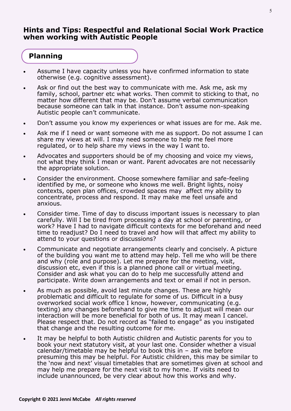### **Hints and Tips: Respectful and Relational Social Work Practice when working with Autistic People**

# **Planning**

- Assume I have capacity unless you have confirmed information to state otherwise (e.g. cognitive assessment).
- Ask or find out the best way to communicate with me. Ask me, ask my family, school, partner etc what works. Then commit to sticking to that, no matter how different that may be. Don't assume verbal communication because someone can talk in that instance. Don't assume non-speaking Autistic people can't communicate.
- Don't assume you know my experiences or what issues are for me. Ask me.
- Ask me if I need or want someone with me as support. Do not assume I can share my views at will. I may need someone to help me feel more regulated, or to help share my views in the way I want to.
- Advocates and supporters should be of my choosing and voice my views, not what they think I mean or want. Parent advocates are not necessarily the appropriate solution.
- Consider the environment. Choose somewhere familiar and safe-feeling identified by me, or someone who knows me well. Bright lights, noisy contexts, open plan offices, crowded spaces may affect my ability to concentrate, process and respond. It may make me feel unsafe and anxious.
- Consider time. Time of day to discuss important issues is necessary to plan carefully. Will I be tired from processing a day at school or parenting, or work? Have I had to navigate difficult contexts for me beforehand and need time to readjust? Do I need to travel and how will that affect my ability to attend to your questions or discussions?
- Communicate and negotiate arrangements clearly and concisely. A picture of the building you want me to attend may help. Tell me who will be there and why (role and purpose). Let me prepare for the meeting, visit, discussion etc, even if this is a planned phone call or virtual meeting. Consider and ask what you can do to help me successfully attend and participate. Write down arrangements and text or email if not in person.
- As much as possible, avoid last minute changes. These are highly problematic and difficult to regulate for some of us. Difficult in a busy overworked social work office I know, however, communicating (e.g. texting) any changes beforehand to give me time to adjust will mean our interaction will be more beneficial for both of us. It may mean I cancel. Please respect that. Do not record as "failed to engage" as you instigated that change and the resulting outcome for me.
- It may be helpful to both Autistic children and Autistic parents for you to book your next statutory visit, at your last one. Consider whether a visual calendar/timetable may be helpful to book this in  $-$  ask me before presuming this may be helpful. For Autistic children, this may be similar to the 'now and next' visual timetables that are sometimes given at school and may help me prepare for the next visit to my home. If visits need to include unannounced, be very clear about how this works and why.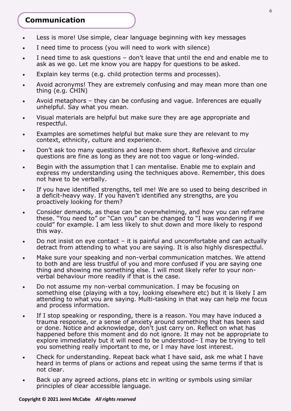# **Communication**

- Less is more! Use simple, clear language beginning with key messages
- I need time to process (you will need to work with silence)
- I need time to ask questions don't leave that until the end and enable me to ask as we go. Let me know you are happy for questions to be asked.
- Explain key terms (e.g. child protection terms and processes).
- Avoid acronyms! They are extremely confusing and may mean more than one thing (e.g. CHIN)
- Avoid metaphors they can be confusing and vague. Inferences are equally unhelpful. Say what you mean.
- Visual materials are helpful but make sure they are age appropriate and respectful.
- Examples are sometimes helpful but make sure they are relevant to my context, ethnicity, culture and experience.
- Don't ask too many questions and keep them short. Reflexive and circular questions are fine as long as they are not too vague or long-winded.
- Begin with the assumption that I can mentalise. Enable me to explain and express my understanding using the techniques above. Remember, this does not have to be verbally.
- If you have identified strengths, tell me! We are so used to being described in a deficit-heavy way. If you haven't identified any strengths, are you proactively looking for them?
- Consider demands, as these can be overwhelming, and how you can reframe these. "You need to" or "Can you" can be changed to "I was wondering if we could" for example. I am less likely to shut down and more likely to respond this way.
- Do not insist on eye contact  $-$  it is painful and uncomfortable and can actually detract from attending to what you are saying. It is also highly disrespectful.
- Make sure your speaking and non-verbal communication matches. We attend to both and are less trustful of you and more confused if you are saying one thing and showing me something else. I will most likely refer to your nonverbal behaviour more readily if that is the case.
- Do not assume my non-verbal communication. I may be focusing on something else (playing with a toy, looking elsewhere etc) but it is likely I am attending to what you are saying. Multi-tasking in that way can help me focus and process information.
- If I stop speaking or responding, there is a reason. You may have induced a trauma response, or a sense of anxiety around something that has been said or done. Notice and acknowledge, don't just carry on. Reflect on what has happened before this moment and do not ignore. It may not be appropriate to explore immediately but it will need to be understood– I may be trying to tell you something really important to me, or I may have lost interest.
- Check for understanding. Repeat back what I have said, ask me what I have heard in terms of plans or actions and repeat using the same terms if that is not clear.
- Back up any agreed actions, plans etc in writing or symbols using similar principles of clear accessible language.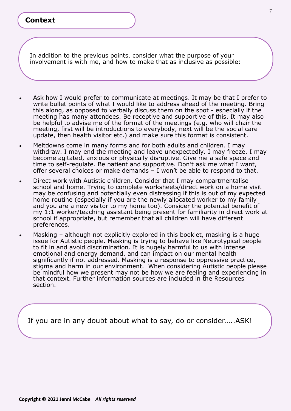# **Context**

In addition to the previous points, consider what the purpose of your involvement is with me, and how to make that as inclusive as possible:

- Ask how I would prefer to communicate at meetings. It may be that I prefer to write bullet points of what I would like to address ahead of the meeting. Bring this along, as opposed to verbally discuss them on the spot - especially if the meeting has many attendees. Be receptive and supportive of this. It may also be helpful to advise me of the format of the meetings (e.g. who will chair the meeting, first will be introductions to everybody, next will be the social care update, then health visitor etc.) and make sure this format is consistent.
- Meltdowns come in many forms and for both adults and children. I may withdraw. I may end the meeting and leave unexpectedly. I may freeze. I may become agitated, anxious or physically disruptive. Give me a safe space and time to self-regulate. Be patient and supportive. Don't ask me what I want, offer several choices or make demands – I won't be able to respond to that.
- Direct work with Autistic children. Consider that I may compartmentalise school and home. Trying to complete worksheets/direct work on a home visit may be confusing and potentially even distressing if this is out of my expected home routine (especially if you are the newly allocated worker to my family and you are a new visitor to my home too). Consider the potential benefit of my 1:1 worker/teaching assistant being present for familiarity in direct work at school if appropriate, but remember that all children will have different preferences.
- Masking although not explicitly explored in this booklet, masking is a huge issue for Autistic people. Masking is trying to behave like Neurotypical people to fit in and avoid discrimination. It is hugely harmful to us with intense emotional and energy demand, and can impact on our mental health significantly if not addressed. Masking is a response to oppressive practice, stigma and harm in our environment. When considering Autistic people please be mindful how we present may not be how we are feeling and experiencing in that context. Further information sources are included in the Resources section.

If you are in any doubt about what to say, do or consider…..ASK!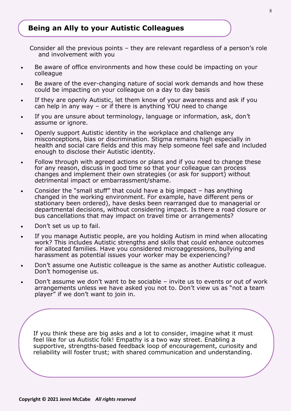# **Being an Ally to your Autistic Colleagues**

Consider all the previous points – they are relevant regardless of a person's role and involvement with you

- Be aware of office environments and how these could be impacting on your colleague
- Be aware of the ever-changing nature of social work demands and how these could be impacting on your colleague on a day to day basis
- If they are openly Autistic, let them know of your awareness and ask if you can help in any way – or if there is anything YOU need to change
- If you are unsure about terminology, language or information, ask, don't assume or ignore.
- Openly support Autistic identity in the workplace and challenge any misconceptions, bias or discrimination. Stigma remains high especially in health and social care fields and this may help someone feel safe and included enough to disclose their Autistic identity.
- Follow through with agreed actions or plans and if you need to change these for any reason, discuss in good time so that your colleague can process changes and implement their own strategies (or ask for support) without detrimental impact or embarrassment/shame.
- Consider the "small stuff" that could have a big impact has anything changed in the working environment. For example, have different pens or stationary been ordered), have desks been rearranged due to managerial or departmental decisions, without considering impact. Is there a road closure or bus cancellations that may impact on travel time or arrangements?
- Don't set us up to fail.
- If you manage Autistic people, are you holding Autism in mind when allocating work? This includes Autistic strengths and skills that could enhance outcomes for allocated families. Have you considered microaggressions, bullying and harassment as potential issues your worker may be experiencing?
- Don't assume one Autistic colleague is the same as another Autistic colleague. Don't homogenise us.
- Don't assume we don't want to be sociable invite us to events or out of work arrangements unless we have asked you not to. Don't view us as "not a team player" if we don't want to join in.

If you think these are big asks and a lot to consider, imagine what it must feel like for us Autistic folk! Empathy is a two way street. Enabling a supportive, strengths-based feedback loop of encouragement, curiosity and reliability will foster trust; with shared communication and understanding.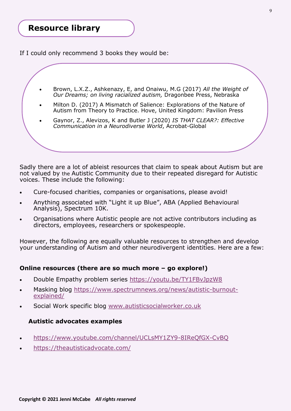# **Resource library**

If I could only recommend 3 books they would be:

- Brown, L.X.Z., Ashkenazy, E, and Onaiwu, M.G (2017) *All the Weight of Our Dreams; on living racialized autism,* Dragonbee Press, Nebraska
- Milton D. (2017) A Mismatch of Salience: Explorations of the Nature of Autism from Theory to Practice. Hove, United Kingdom: Pavilion Press
- Gaynor, Z., Alevizos, K and Butler J (2020) *IS THAT CLEAR?: Effective Communication in a Neurodiverse World*, Acrobat-Global

Sadly there are a lot of ableist resources that claim to speak about Autism but are not valued by the Autistic Community due to their repeated disregard for Autistic voices. These include the following:

- Cure-focused charities, companies or organisations, please avoid!
- Anything associated with "Light it up Blue", ABA (Applied Behavioural Analysis), Spectrum 10K.
- Organisations where Autistic people are not active contributors including as directors, employees, researchers or spokespeople.

However, the following are equally valuable resources to strengthen and develop your understanding of Autism and other neurodivergent identities. Here are a few:

### **Online resources (there are so much more – go explore!)**

- Double Empathy problem series<https://youtu.be/TY1FBvJpzW8>
- Masking blog [https://www.spectrumnews.org/news/autistic](https://www.spectrumnews.org/news/autistic-burnout-explained/)-burnout[explained/](https://www.spectrumnews.org/news/autistic-burnout-explained/)
- Social Work specific blog [www.autisticsocialworker.co.uk](http://www.autisticsocialworker.co.uk)

### **Autistic advocates examples**

- [https://www.youtube.com/channel/UCLsMY1ZY9](https://www.youtube.com/channel/UCLsMY1ZY9-8IReQfGX-CvBQ)-8IReQfGX-CvBQ
- <https://theautisticadvocate.com/>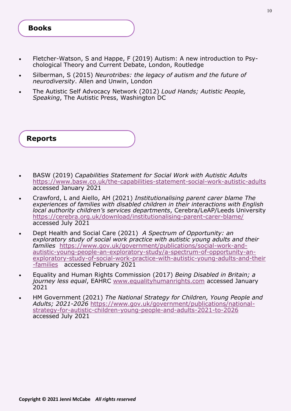- Fletcher-Watson, S and Happe, F (2019) Autism: A new introduction to Psychological Theory and Current Debate, London, Routledge
- Silberman, S (2015) *Neurotribes: the legacy of autism and the future of neurodiversity*. Allen and Unwin, London
- The Autistic Self Advocacy Network (2012) *Loud Hands; Autistic People, Speaking*, The Autistic Press, Washington DC

**Reports**

- BASW (2019) *Capabilities Statement for Social Work with Autistic Adults*  [https://www.basw.co.uk/the](https://www.basw.co.uk/the-capabilities-statement-social-work-autistic-adults)-capabilities-statement-social-work-autistic-adults accessed January 2021
- Crawford, L and Aiello, AH (2021) *Institutionalising parent carer blame The experiences of families with disabled children in their interactions with English local authority children's services departments*, Cerebra/LeAP/Leeds University [https://cerebra.org.uk/download/institutionalising](https://cerebra.org.uk/download/institutionalising-parent-carer-blame/)-parent-carer-blame/ accessed July 2021
- Dept Health and Social Care (2021) *A Spectrum of Opportunity: an exploratory study of social work practice with autistic young adults and their families* [https://www.gov.uk/government/publications/social](https://www.gov.uk/government/publications/social-work-and-autistic-young-people-an-exploratory-study/a-spectrum-of-opportunity-an-exploratory-study-of-social-work-practice-with-autistic-young-adults-and-their-families)-work-andautistic-young-people-an-exploratory-study/a-spectrum-of-[opportunity](https://www.gov.uk/government/publications/social-work-and-autistic-young-people-an-exploratory-study/a-spectrum-of-opportunity-an-exploratory-study-of-social-work-practice-with-autistic-young-adults-and-their-families)-an[exploratory](https://www.gov.uk/government/publications/social-work-and-autistic-young-people-an-exploratory-study/a-spectrum-of-opportunity-an-exploratory-study-of-social-work-practice-with-autistic-young-adults-and-their-families)-study-of-social-work-practice-with-autistic-young-adults-and-their -[families](https://www.gov.uk/government/publications/social-work-and-autistic-young-people-an-exploratory-study/a-spectrum-of-opportunity-an-exploratory-study-of-social-work-practice-with-autistic-young-adults-and-their-families) accessed February 2021
- Equality and Human Rights Commission (2017) *Being Disabled in Britain; a journey less equal*, EAHRC [www.equalityhumanrights.com](http://www.equalityhumanrights.com) accessed January 2021
- HM Government (2021) *The National Strategy for Children, Young People and Adults; 2021-2026* [https://www.gov.uk/government/publications/national](https://www.gov.uk/government/publications/national-strategy-for-autistic-children-young-people-and-adults-2021-to-2026)[strategy](https://www.gov.uk/government/publications/national-strategy-for-autistic-children-young-people-and-adults-2021-to-2026)-for-autistic-children-young-people-and-adults-2021-to-2026 accessed July 2021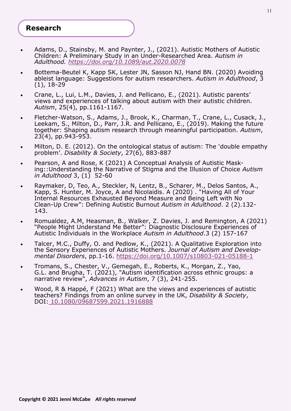### **Research**

- Adams, D., Stainsby, M. and Paynter, J., (2021). Autistic Mothers of Autistic Children: A Preliminary Study in an Under-Researched Area. *Autism in Adulthood. <https://doi.org/10.1089/aut.2020.0078>*
- Bottema-Beutel K, Kapp SK, Lester JN, Sasson NJ, Hand BN. (2020) Avoiding ableist language: Suggestions for autism researchers. *Autism in Adulthood*, 3 (1), 18-29
- Crane, L., Lui, L.M., Davies, J. and Pellicano, E., (2021). Autistic parents' views and experiences of talking about autism with their autistic children. *Autism*, 25(4), pp.1161-1167.
- Fletcher-Watson, S., Adams, J., Brook, K., Charman, T., Crane, L., Cusack, J., Leekam, S., Milton, D., Parr, J.R. and Pellicano, E., (2019). Making the future together: Shaping autism research through meaningful participation. *Autism*, 23(4), pp.943-953.
- Milton, D. E. (2012). On the ontological status of autism: The 'double empathy problem'. *Disability & Society*, 27(6), 883-887
- Pearson, A and Rose, K (2021) A Conceptual Analysis of Autistic Masking::Understanding the Narrative of Stigma and the Illusion of Choice *Autism in Adulthood* 3, (1) 52-60
- Raymaker, D, Teo, A., Steckler, N, Lentz, B., Scharer, M., Delos Santos, A., Kapp, S. Hunter, M. Joyce, A and Nicolaidis. A (2020) . "Having All of Your Internal Resources Exhausted Beyond Measure and Being Left with No Clean-Up Crew": Defining Autistic Burnout *Autism in Adulthood*. 2 (2).132- 143.
- Romualdez, A.M, Heasman, B., Walker, Z. Davies, J. and Remington, A (2021) "People Might Understand Me Better": Diagnostic Disclosure Experiences of Autistic Individuals in the Workplace *Autism in Adulthood*.3 (2) 157-167
- Talcer, M.C., Duffy, O. and Pedlow, K., (2021). A Qualitative Exploration into the Sensory Experiences of Autistic Mothers. *Journal of Autism and Developmental Disorders*, pp.1-16. [https://doi.org/10.1007/s10803](https://doi.org/10.1007/s10803-021-05188-1)-021-05188-1
- Tromans, S., Chester, V., Gemegah, E., Roberts, K., Morgan, Z., Yao, G.L. and Brugha, T. (2021), "Autism identification across ethnic groups: a narrative review", *Advances in Autism*, 7 (3), 241-255.
- Wood, R & Happé, F (2021) What are the views and experiences of autistic teachers? Findings from an online survey in the UK, *Disability & Society*, DOI: <10.1080/09687599.2021.1916888>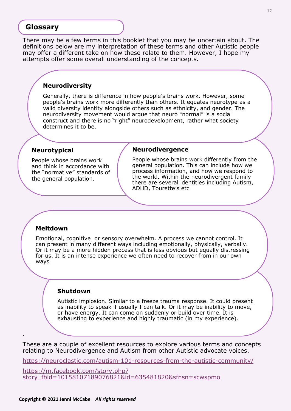### **Glossary**

There may be a few terms in this booklet that you may be uncertain about. The definitions below are my interpretation of these terms and other Autistic people may offer a different take on how these relate to them. However, I hope my attempts offer some overall understanding of the concepts.

### **Neurodiversity**

Generally, there is difference in how people's brains work. However, some people's brains work more differently than others. It equates neurotype as a valid diversity identity alongside others such as ethnicity, and gender. The neurodiversity movement would argue that neuro "normal" is a social construct and there is no "right" neurodevelopment, rather what society determines it to be.

### **Neurotypical**

People whose brains work and think in accordance with the "normative" standards of the general population.

#### **Neurodivergence**

People whose brains work differently from the general population. This can include how we process information, and how we respond to the world. Within the neurodivergent family there are several identities including Autism, ADHD, Tourette's etc

### **Meltdown**

.

Emotional, cognitive or sensory overwhelm. A process we cannot control. It can present in many different ways including emotionally, physically, verbally. Or it may be a more hidden process that is less obvious but equally distressing for us. It is an intense experience we often need to recover from in our own ways

#### **Shutdown**

Autistic implosion. Similar to a freeze trauma response. It could present as inability to speak if usually I can talk. Or it may be inability to move, or have energy. It can come on suddenly or build over time. It is exhausting to experience and highly traumatic (in my experience).

These are a couple of excellent resources to explore various terms and concepts relating to Neurodivergence and Autism from other Autistic advocate voices.

[https://neuroclastic.com/autism](https://neuroclastic.com/autism-101-resources-from-the-autistic-community/)-101-resources-from-the-autistic-community/

[https://m.facebook.com/story.php?](https://m.facebook.com/story.php?story_fbid=10158107189076821&id=635481820&sfnsn=scwspmo) [story\\_fbid=10158107189076821&id=635481820&sfnsn=scwspmo](https://m.facebook.com/story.php?story_fbid=10158107189076821&id=635481820&sfnsn=scwspmo)